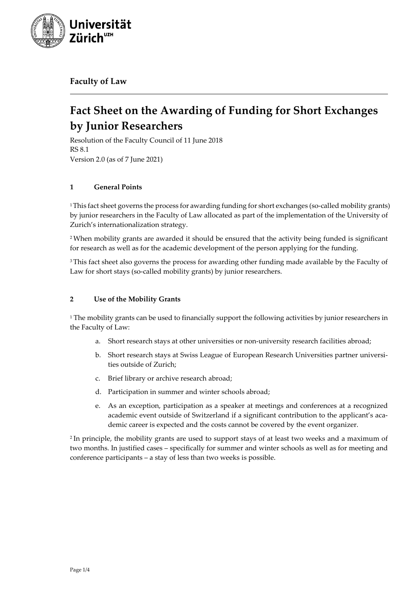

**Faculty of Law**

# **Fact Sheet on the Awarding of Funding for Short Exchanges by Junior Researchers**

Resolution of the Faculty Council of 11 June 2018 RS 8.1 Version 2.0 (as of 7 June 2021)

# **1 General Points**

<sup>1</sup>This fact sheet governs the process for awarding funding for short exchanges (so-called mobility grants) by junior researchers in the Faculty of Law allocated as part of the implementation of the University of Zurich's internationalization strategy.

2 When mobility grants are awarded it should be ensured that the activity being funded is significant for research as well as for the academic development of the person applying for the funding.

<sup>3</sup>This fact sheet also governs the process for awarding other funding made available by the Faculty of Law for short stays (so-called mobility grants) by junior researchers.

## **2 Use of the Mobility Grants**

<sup>1</sup> The mobility grants can be used to financially support the following activities by junior researchers in the Faculty of Law:

- a. Short research stays at other universities or non-university research facilities abroad;
- b. Short research stays at Swiss League of European Research Universities partner universities outside of Zurich;
- c. Brief library or archive research abroad;
- d. Participation in summer and winter schools abroad;
- e. As an exception, participation as a speaker at meetings and conferences at a recognized academic event outside of Switzerland if a significant contribution to the applicant's academic career is expected and the costs cannot be covered by the event organizer.

2 In principle, the mobility grants are used to support stays of at least two weeks and a maximum of two months. In justified cases – specifically for summer and winter schools as well as for meeting and conference participants – a stay of less than two weeks is possible.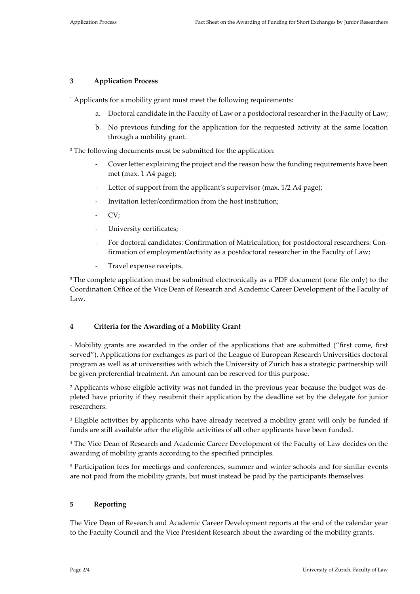#### **3 Application Process**

<sup>1</sup> Applicants for a mobility grant must meet the following requirements:

- a. Doctoral candidate in the Faculty of Law or a postdoctoral researcher in the Faculty of Law;
- b. No previous funding for the application for the requested activity at the same location through a mobility grant.

<sup>2</sup> The following documents must be submitted for the application:

- Cover letter explaining the project and the reason how the funding requirements have been met (max. 1 A4 page);
- Letter of support from the applicant's supervisor (max. 1/2 A4 page);
- Invitation letter/confirmation from the host institution;
- CV;
- University certificates;
- For doctoral candidates: Confirmation of Matriculation; for postdoctoral researchers: Confirmation of employment/activity as a postdoctoral researcher in the Faculty of Law;
- Travel expense receipts.

<sup>3</sup> The complete application must be submitted electronically as a PDF document (one file only) to the Coordination Office of the Vice Dean of Research and Academic Career Development of the Faculty of Law.

#### **4 Criteria for the Awarding of a Mobility Grant**

<sup>1</sup> Mobility grants are awarded in the order of the applications that are submitted ("first come, first served"). Applications for exchanges as part of the League of European Research Universities doctoral program as well as at universities with which the University of Zurich has a strategic partnership will be given preferential treatment. An amount can be reserved for this purpose.

<sup>2</sup> Applicants whose eligible activity was not funded in the previous year because the budget was depleted have priority if they resubmit their application by the deadline set by the delegate for junior researchers.

<sup>3</sup> Eligible activities by applicants who have already received a mobility grant will only be funded if funds are still available after the eligible activities of all other applicants have been funded.

<sup>4</sup> The Vice Dean of Research and Academic Career Development of the Faculty of Law decides on the awarding of mobility grants according to the specified principles.

<sup>5</sup> Participation fees for meetings and conferences, summer and winter schools and for similar events are not paid from the mobility grants, but must instead be paid by the participants themselves.

#### **5 Reporting**

The Vice Dean of Research and Academic Career Development reports at the end of the calendar year to the Faculty Council and the Vice President Research about the awarding of the mobility grants.